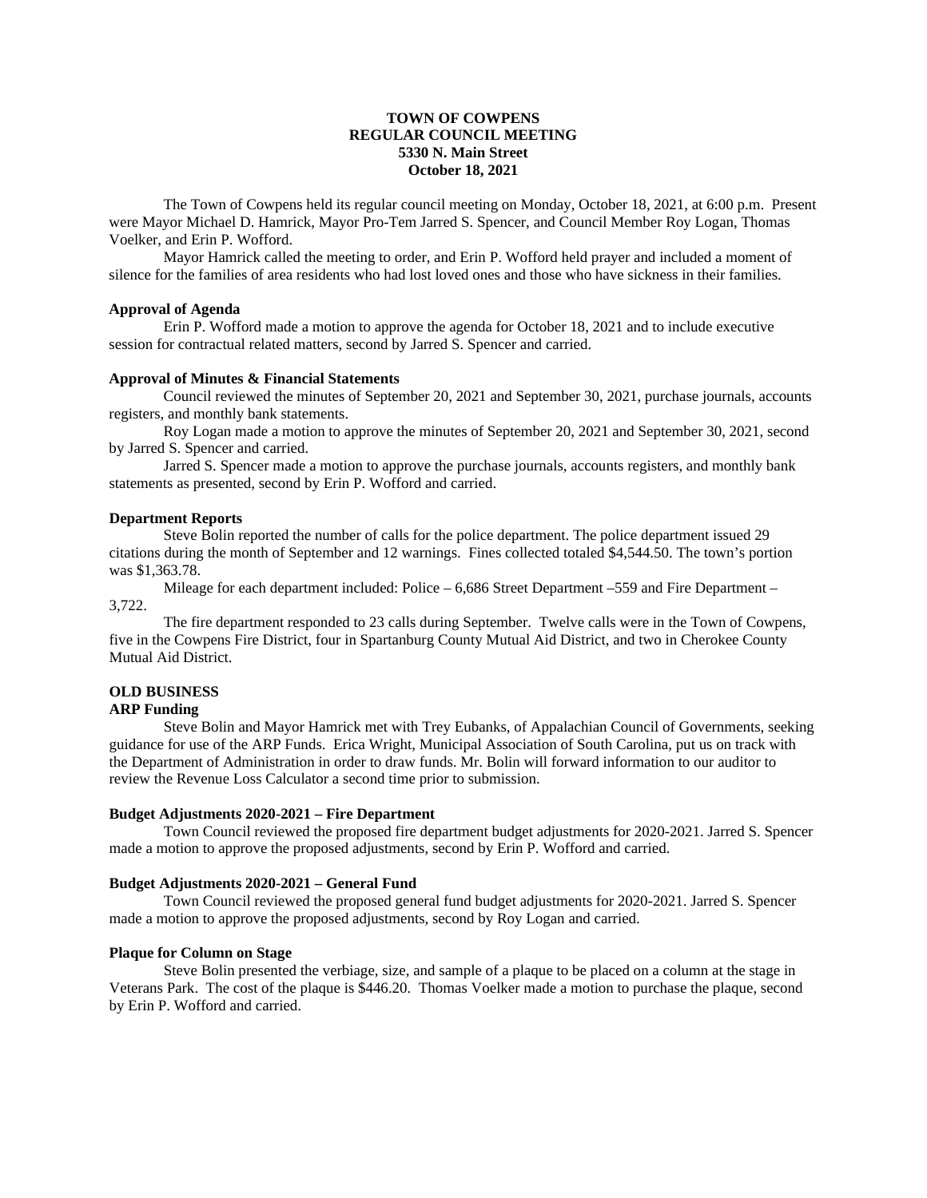## **TOWN OF COWPENS REGULAR COUNCIL MEETING 5330 N. Main Street October 18, 2021**

The Town of Cowpens held its regular council meeting on Monday, October 18, 2021, at 6:00 p.m. Present were Mayor Michael D. Hamrick, Mayor Pro-Tem Jarred S. Spencer, and Council Member Roy Logan, Thomas Voelker, and Erin P. Wofford.

Mayor Hamrick called the meeting to order, and Erin P. Wofford held prayer and included a moment of silence for the families of area residents who had lost loved ones and those who have sickness in their families.

# **Approval of Agenda**

Erin P. Wofford made a motion to approve the agenda for October 18, 2021 and to include executive session for contractual related matters, second by Jarred S. Spencer and carried.

#### **Approval of Minutes & Financial Statements**

Council reviewed the minutes of September 20, 2021 and September 30, 2021, purchase journals, accounts registers, and monthly bank statements.

Roy Logan made a motion to approve the minutes of September 20, 2021 and September 30, 2021, second by Jarred S. Spencer and carried.

Jarred S. Spencer made a motion to approve the purchase journals, accounts registers, and monthly bank statements as presented, second by Erin P. Wofford and carried.

#### **Department Reports**

Steve Bolin reported the number of calls for the police department. The police department issued 29 citations during the month of September and 12 warnings. Fines collected totaled \$4,544.50. The town's portion was \$1,363.78.

Mileage for each department included: Police – 6,686 Street Department –559 and Fire Department – 3,722.

The fire department responded to 23 calls during September. Twelve calls were in the Town of Cowpens, five in the Cowpens Fire District, four in Spartanburg County Mutual Aid District, and two in Cherokee County Mutual Aid District.

## **OLD BUSINESS**

### **ARP Funding**

Steve Bolin and Mayor Hamrick met with Trey Eubanks, of Appalachian Council of Governments, seeking guidance for use of the ARP Funds. Erica Wright, Municipal Association of South Carolina, put us on track with the Department of Administration in order to draw funds. Mr. Bolin will forward information to our auditor to review the Revenue Loss Calculator a second time prior to submission.

#### **Budget Adjustments 2020-2021 – Fire Department**

Town Council reviewed the proposed fire department budget adjustments for 2020-2021. Jarred S. Spencer made a motion to approve the proposed adjustments, second by Erin P. Wofford and carried.

### **Budget Adjustments 2020-2021 – General Fund**

Town Council reviewed the proposed general fund budget adjustments for 2020-2021. Jarred S. Spencer made a motion to approve the proposed adjustments, second by Roy Logan and carried.

#### **Plaque for Column on Stage**

Steve Bolin presented the verbiage, size, and sample of a plaque to be placed on a column at the stage in Veterans Park. The cost of the plaque is \$446.20. Thomas Voelker made a motion to purchase the plaque, second by Erin P. Wofford and carried.